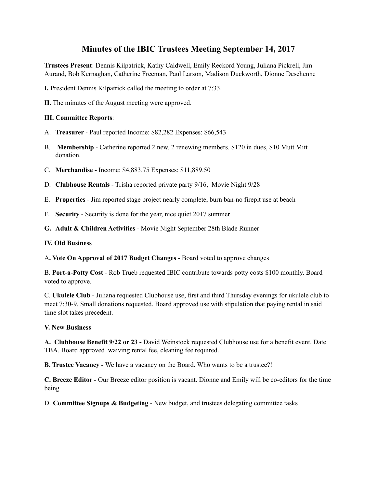# **Minutes of the IBIC Trustees Meeting September 14, 2017**

**Trustees Present**: Dennis Kilpatrick, Kathy Caldwell, Emily Reckord Young, Juliana Pickrell, Jim Aurand, Bob Kernaghan, Catherine Freeman, Paul Larson, Madison Duckworth, Dionne Deschenne

**I.** President Dennis Kilpatrick called the meeting to order at 7:33.

**II.** The minutes of the August meeting were approved.

### **III. Committee Reports**:

- A. **Treasurer**  Paul reported Income: \$82,282 Expenses: \$66,543
- B. **Membership**  Catherine reported 2 new, 2 renewing members. \$120 in dues, \$10 Mutt Mitt donation.
- C. **Merchandise -** Income: \$4,883.75 Expenses: \$11,889.50
- D. **Clubhouse Rentals**  Trisha reported private party 9/16, Movie Night 9/28
- E. **Properties**  Jim reported stage project nearly complete, burn ban-no firepit use at beach
- F. **Security**  Security is done for the year, nice quiet 2017 summer
- **G. Adult & Children Activities**  Movie Night September 28th Blade Runner

#### **IV. Old Business**

A**. Vote On Approval of 2017 Budget Changes** - Board voted to approve changes

B. **Port-a-Potty Cost** - Rob Trueb requested IBIC contribute towards potty costs \$100 monthly. Board voted to approve.

C. **Ukulele Club** - Juliana requested Clubhouse use, first and third Thursday evenings for ukulele club to meet 7:30-9. Small donations requested. Board approved use with stipulation that paying rental in said time slot takes precedent.

#### **V. New Business**

**A. Clubhouse Benefit 9/22 or 23 -** David Weinstock requested Clubhouse use for a benefit event. Date TBA. Board approved waiving rental fee, cleaning fee required.

**B. Trustee Vacancy -** We have a vacancy on the Board. Who wants to be a trustee?!

**C. Breeze Editor -** Our Breeze editor position is vacant. Dionne and Emily will be co-editors for the time being

D. **Committee Signups & Budgeting** - New budget, and trustees delegating committee tasks